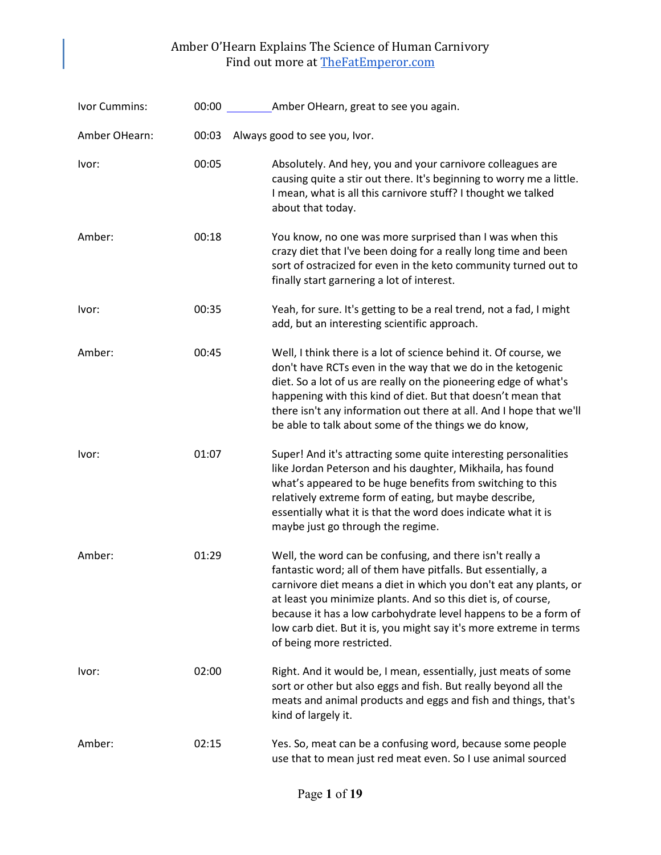| Ivor Cummins: |       | 00:00 Amber OHearn, great to see you again.                                                                                                                                                                                                                                                                                                                                                                                            |
|---------------|-------|----------------------------------------------------------------------------------------------------------------------------------------------------------------------------------------------------------------------------------------------------------------------------------------------------------------------------------------------------------------------------------------------------------------------------------------|
| Amber OHearn: | 00:03 | Always good to see you, Ivor.                                                                                                                                                                                                                                                                                                                                                                                                          |
| Ivor:         | 00:05 | Absolutely. And hey, you and your carnivore colleagues are<br>causing quite a stir out there. It's beginning to worry me a little.<br>I mean, what is all this carnivore stuff? I thought we talked<br>about that today.                                                                                                                                                                                                               |
| Amber:        | 00:18 | You know, no one was more surprised than I was when this<br>crazy diet that I've been doing for a really long time and been<br>sort of ostracized for even in the keto community turned out to<br>finally start garnering a lot of interest.                                                                                                                                                                                           |
| Ivor:         | 00:35 | Yeah, for sure. It's getting to be a real trend, not a fad, I might<br>add, but an interesting scientific approach.                                                                                                                                                                                                                                                                                                                    |
| Amber:        | 00:45 | Well, I think there is a lot of science behind it. Of course, we<br>don't have RCTs even in the way that we do in the ketogenic<br>diet. So a lot of us are really on the pioneering edge of what's<br>happening with this kind of diet. But that doesn't mean that<br>there isn't any information out there at all. And I hope that we'll<br>be able to talk about some of the things we do know,                                     |
| Ivor:         | 01:07 | Super! And it's attracting some quite interesting personalities<br>like Jordan Peterson and his daughter, Mikhaila, has found<br>what's appeared to be huge benefits from switching to this<br>relatively extreme form of eating, but maybe describe,<br>essentially what it is that the word does indicate what it is<br>maybe just go through the regime.                                                                            |
| Amber:        | 01:29 | Well, the word can be confusing, and there isn't really a<br>fantastic word; all of them have pitfalls. But essentially, a<br>carnivore diet means a diet in which you don't eat any plants, or<br>at least you minimize plants. And so this diet is, of course,<br>because it has a low carbohydrate level happens to be a form of<br>low carb diet. But it is, you might say it's more extreme in terms<br>of being more restricted. |
| Ivor:         | 02:00 | Right. And it would be, I mean, essentially, just meats of some<br>sort or other but also eggs and fish. But really beyond all the<br>meats and animal products and eggs and fish and things, that's<br>kind of largely it.                                                                                                                                                                                                            |
| Amber:        | 02:15 | Yes. So, meat can be a confusing word, because some people<br>use that to mean just red meat even. So I use animal sourced                                                                                                                                                                                                                                                                                                             |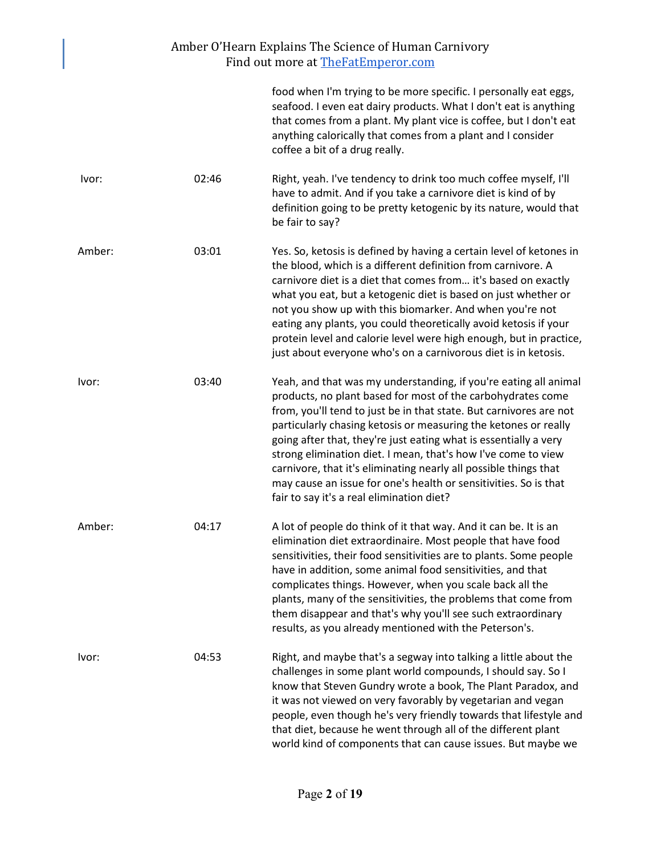|        |       | Amber O'Hearn Explains The Science of Human Carnivory<br>Find out more at The Fat Emperor.com                                                                                                                                                                                                                                                                                                                                                                                                                                                                                                      |
|--------|-------|----------------------------------------------------------------------------------------------------------------------------------------------------------------------------------------------------------------------------------------------------------------------------------------------------------------------------------------------------------------------------------------------------------------------------------------------------------------------------------------------------------------------------------------------------------------------------------------------------|
|        |       | food when I'm trying to be more specific. I personally eat eggs,<br>seafood. I even eat dairy products. What I don't eat is anything<br>that comes from a plant. My plant vice is coffee, but I don't eat<br>anything calorically that comes from a plant and I consider<br>coffee a bit of a drug really.                                                                                                                                                                                                                                                                                         |
| Ivor:  | 02:46 | Right, yeah. I've tendency to drink too much coffee myself, I'll<br>have to admit. And if you take a carnivore diet is kind of by<br>definition going to be pretty ketogenic by its nature, would that<br>be fair to say?                                                                                                                                                                                                                                                                                                                                                                          |
| Amber: | 03:01 | Yes. So, ketosis is defined by having a certain level of ketones in<br>the blood, which is a different definition from carnivore. A<br>carnivore diet is a diet that comes from it's based on exactly<br>what you eat, but a ketogenic diet is based on just whether or<br>not you show up with this biomarker. And when you're not<br>eating any plants, you could theoretically avoid ketosis if your<br>protein level and calorie level were high enough, but in practice,<br>just about everyone who's on a carnivorous diet is in ketosis.                                                    |
| Ivor:  | 03:40 | Yeah, and that was my understanding, if you're eating all animal<br>products, no plant based for most of the carbohydrates come<br>from, you'll tend to just be in that state. But carnivores are not<br>particularly chasing ketosis or measuring the ketones or really<br>going after that, they're just eating what is essentially a very<br>strong elimination diet. I mean, that's how I've come to view<br>carnivore, that it's eliminating nearly all possible things that<br>may cause an issue for one's health or sensitivities. So is that<br>fair to say it's a real elimination diet? |
| Amber: | 04:17 | A lot of people do think of it that way. And it can be. It is an<br>elimination diet extraordinaire. Most people that have food<br>sensitivities, their food sensitivities are to plants. Some people<br>have in addition, some animal food sensitivities, and that<br>complicates things. However, when you scale back all the<br>plants, many of the sensitivities, the problems that come from<br>them disappear and that's why you'll see such extraordinary<br>results, as you already mentioned with the Peterson's.                                                                         |
| Ivor:  | 04:53 | Right, and maybe that's a segway into talking a little about the<br>challenges in some plant world compounds, I should say. So I<br>know that Steven Gundry wrote a book, The Plant Paradox, and<br>it was not viewed on very favorably by vegetarian and vegan<br>people, even though he's very friendly towards that lifestyle and<br>that diet, because he went through all of the different plant<br>world kind of components that can cause issues. But maybe we                                                                                                                              |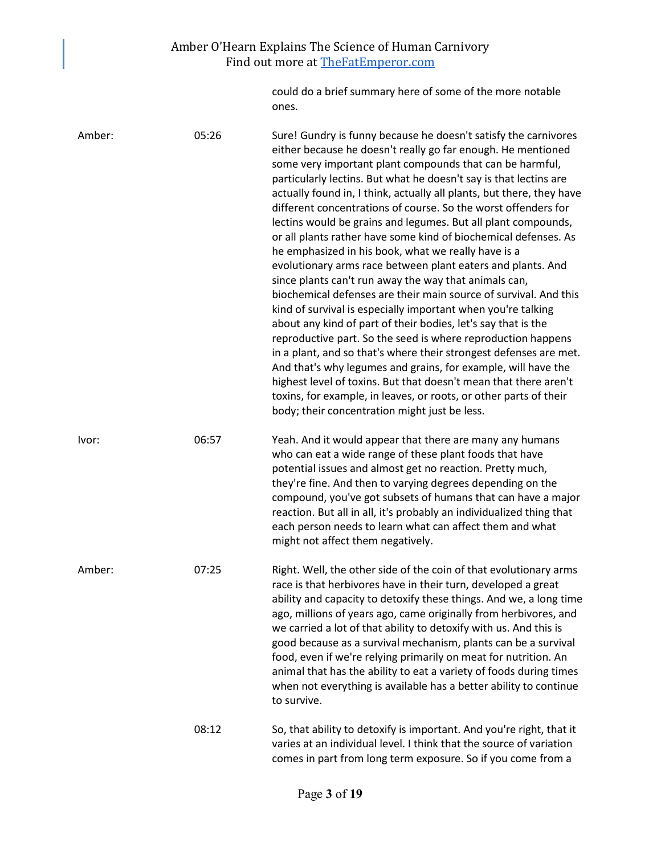could do a brief summary here of some of the more notable ones.

| Amber: | 05:26 | Sure! Gundry is funny because he doesn't satisfy the carnivores<br>either because he doesn't really go far enough. He mentioned<br>some very important plant compounds that can be harmful,<br>particularly lectins. But what he doesn't say is that lectins are<br>actually found in, I think, actually all plants, but there, they have<br>different concentrations of course. So the worst offenders for<br>lectins would be grains and legumes. But all plant compounds,<br>or all plants rather have some kind of biochemical defenses. As<br>he emphasized in his book, what we really have is a<br>evolutionary arms race between plant eaters and plants. And<br>since plants can't run away the way that animals can,<br>biochemical defenses are their main source of survival. And this<br>kind of survival is especially important when you're talking<br>about any kind of part of their bodies, let's say that is the<br>reproductive part. So the seed is where reproduction happens<br>in a plant, and so that's where their strongest defenses are met.<br>And that's why legumes and grains, for example, will have the<br>highest level of toxins. But that doesn't mean that there aren't<br>toxins, for example, in leaves, or roots, or other parts of their<br>body; their concentration might just be less. |
|--------|-------|-------------------------------------------------------------------------------------------------------------------------------------------------------------------------------------------------------------------------------------------------------------------------------------------------------------------------------------------------------------------------------------------------------------------------------------------------------------------------------------------------------------------------------------------------------------------------------------------------------------------------------------------------------------------------------------------------------------------------------------------------------------------------------------------------------------------------------------------------------------------------------------------------------------------------------------------------------------------------------------------------------------------------------------------------------------------------------------------------------------------------------------------------------------------------------------------------------------------------------------------------------------------------------------------------------------------------------------|
| Ivor:  | 06:57 | Yeah. And it would appear that there are many any humans<br>who can eat a wide range of these plant foods that have<br>potential issues and almost get no reaction. Pretty much,<br>they're fine. And then to varying degrees depending on the<br>compound, you've got subsets of humans that can have a major<br>reaction. But all in all, it's probably an individualized thing that<br>each person needs to learn what can affect them and what<br>might not affect them negatively.                                                                                                                                                                                                                                                                                                                                                                                                                                                                                                                                                                                                                                                                                                                                                                                                                                             |
| Amber: | 07:25 | Right. Well, the other side of the coin of that evolutionary arms<br>race is that herbivores have in their turn, developed a great<br>ability and capacity to detoxify these things. And we, a long time<br>ago, millions of years ago, came originally from herbivores, and<br>we carried a lot of that ability to detoxify with us. And this is<br>good because as a survival mechanism, plants can be a survival<br>food, even if we're relying primarily on meat for nutrition. An<br>animal that has the ability to eat a variety of foods during times<br>when not everything is available has a better ability to continue<br>to survive.                                                                                                                                                                                                                                                                                                                                                                                                                                                                                                                                                                                                                                                                                    |
|        | 08:12 | So, that ability to detoxify is important. And you're right, that it<br>varies at an individual level. I think that the source of variation<br>comes in part from long term exposure. So if you come from a                                                                                                                                                                                                                                                                                                                                                                                                                                                                                                                                                                                                                                                                                                                                                                                                                                                                                                                                                                                                                                                                                                                         |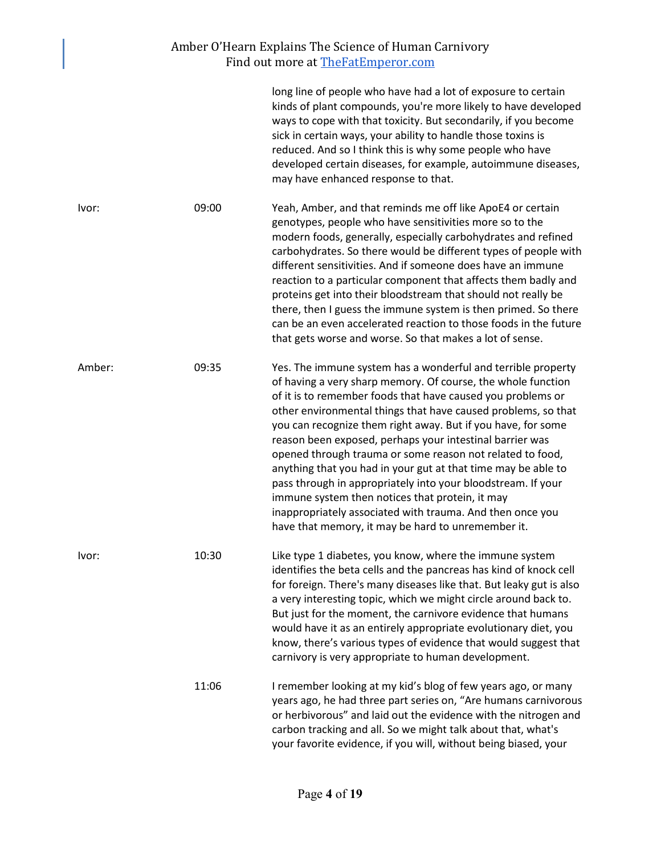|        |       | long line of people who have had a lot of exposure to certain<br>kinds of plant compounds, you're more likely to have developed<br>ways to cope with that toxicity. But secondarily, if you become<br>sick in certain ways, your ability to handle those toxins is<br>reduced. And so I think this is why some people who have<br>developed certain diseases, for example, autoimmune diseases,<br>may have enhanced response to that.                                                                                                                                                                                                                                                                                                                       |
|--------|-------|--------------------------------------------------------------------------------------------------------------------------------------------------------------------------------------------------------------------------------------------------------------------------------------------------------------------------------------------------------------------------------------------------------------------------------------------------------------------------------------------------------------------------------------------------------------------------------------------------------------------------------------------------------------------------------------------------------------------------------------------------------------|
| Ivor:  | 09:00 | Yeah, Amber, and that reminds me off like ApoE4 or certain<br>genotypes, people who have sensitivities more so to the<br>modern foods, generally, especially carbohydrates and refined<br>carbohydrates. So there would be different types of people with<br>different sensitivities. And if someone does have an immune<br>reaction to a particular component that affects them badly and<br>proteins get into their bloodstream that should not really be<br>there, then I guess the immune system is then primed. So there<br>can be an even accelerated reaction to those foods in the future<br>that gets worse and worse. So that makes a lot of sense.                                                                                                |
| Amber: | 09:35 | Yes. The immune system has a wonderful and terrible property<br>of having a very sharp memory. Of course, the whole function<br>of it is to remember foods that have caused you problems or<br>other environmental things that have caused problems, so that<br>you can recognize them right away. But if you have, for some<br>reason been exposed, perhaps your intestinal barrier was<br>opened through trauma or some reason not related to food,<br>anything that you had in your gut at that time may be able to<br>pass through in appropriately into your bloodstream. If your<br>immune system then notices that protein, it may<br>inappropriately associated with trauma. And then once you<br>have that memory, it may be hard to unremember it. |
| Ivor:  | 10:30 | Like type 1 diabetes, you know, where the immune system<br>identifies the beta cells and the pancreas has kind of knock cell<br>for foreign. There's many diseases like that. But leaky gut is also<br>a very interesting topic, which we might circle around back to.<br>But just for the moment, the carnivore evidence that humans<br>would have it as an entirely appropriate evolutionary diet, you<br>know, there's various types of evidence that would suggest that<br>carnivory is very appropriate to human development.                                                                                                                                                                                                                           |
|        | 11:06 | I remember looking at my kid's blog of few years ago, or many<br>years ago, he had three part series on, "Are humans carnivorous<br>or herbivorous" and laid out the evidence with the nitrogen and<br>carbon tracking and all. So we might talk about that, what's<br>your favorite evidence, if you will, without being biased, your                                                                                                                                                                                                                                                                                                                                                                                                                       |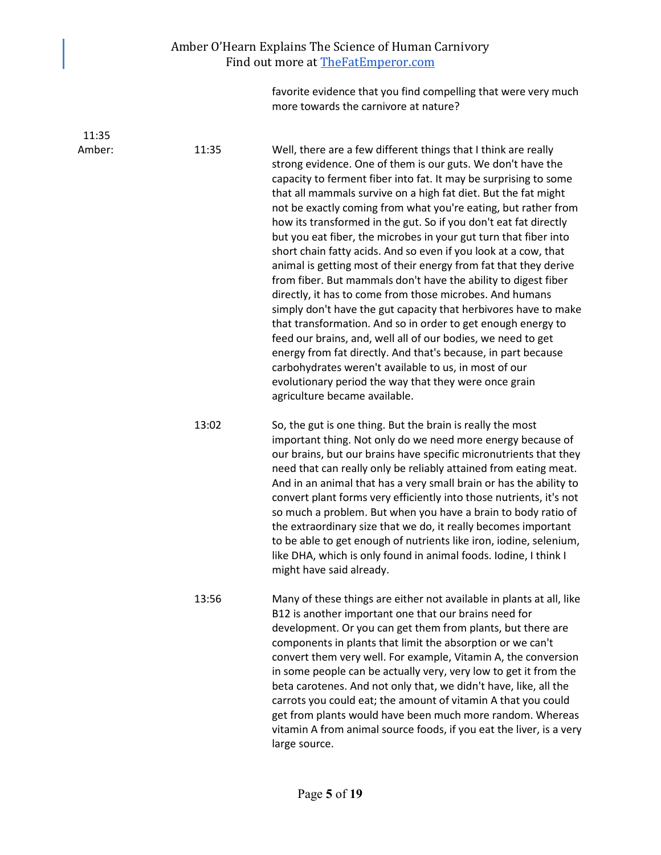#### Amber O'Hearn Explains The Science of Human Carnivory Find out more at [TheFatEmperor.com](https://thefatemperor.com/)

favorite evidence that you find compelling that were very much more towards the carnivore at nature?

 11:35 Amber: 11:35 Well, there are a few different things that I think are really strong evidence. One of them is our guts. We don't have the capacity to ferment fiber into fat. It may be surprising to some that all mammals survive on a high fat diet. But the fat might not be exactly coming from what you're eating, but rather from how its transformed in the gut. So if you don't eat fat directly but you eat fiber, the microbes in your gut turn that fiber into short chain fatty acids. And so even if you look at a cow, that animal is getting most of their energy from fat that they derive from fiber. But mammals don't have the ability to digest fiber directly, it has to come from those microbes. And humans simply don't have the gut capacity that herbivores have to make that transformation. And so in order to get enough energy to feed our brains, and, well all of our bodies, we need to get energy from fat directly. And that's because, in part because carbohydrates weren't available to us, in most of our evolutionary period the way that they were once grain agriculture became available. 13:02 So, the gut is one thing. But the brain is really the most important thing. Not only do we need more energy because of our brains, but our brains have specific micronutrients that they need that can really only be reliably attained from eating meat. And in an animal that has a very small brain or has the ability to convert plant forms very efficiently into those nutrients, it's not so much a problem. But when you have a brain to body ratio of the extraordinary size that we do, it really becomes important to be able to get enough of nutrients like iron, iodine, selenium, like DHA, which is only found in animal foods. Iodine, I think I might have said already. 13:56 Many of these things are either not available in plants at all, like B12 is another important one that our brains need for development. Or you can get them from plants, but there are components in plants that limit the absorption or we can't convert them very well. For example, Vitamin A, the conversion in some people can be actually very, very low to get it from the beta carotenes. And not only that, we didn't have, like, all the carrots you could eat; the amount of vitamin A that you could get from plants would have been much more random. Whereas vitamin A from animal source foods, if you eat the liver, is a very large source.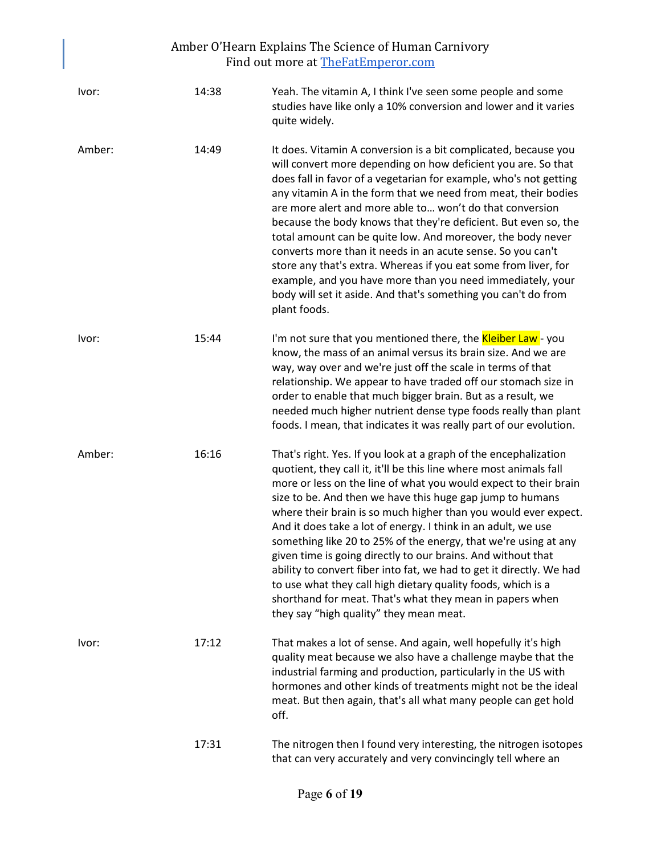| Ivor:  | 14:38 | Yeah. The vitamin A, I think I've seen some people and some<br>studies have like only a 10% conversion and lower and it varies<br>quite widely.                                                                                                                                                                                                                                                                                                                                                                                                                                                                                                                                                                                                                                               |
|--------|-------|-----------------------------------------------------------------------------------------------------------------------------------------------------------------------------------------------------------------------------------------------------------------------------------------------------------------------------------------------------------------------------------------------------------------------------------------------------------------------------------------------------------------------------------------------------------------------------------------------------------------------------------------------------------------------------------------------------------------------------------------------------------------------------------------------|
| Amber: | 14:49 | It does. Vitamin A conversion is a bit complicated, because you<br>will convert more depending on how deficient you are. So that<br>does fall in favor of a vegetarian for example, who's not getting<br>any vitamin A in the form that we need from meat, their bodies<br>are more alert and more able to won't do that conversion<br>because the body knows that they're deficient. But even so, the<br>total amount can be quite low. And moreover, the body never<br>converts more than it needs in an acute sense. So you can't<br>store any that's extra. Whereas if you eat some from liver, for<br>example, and you have more than you need immediately, your<br>body will set it aside. And that's something you can't do from<br>plant foods.                                       |
| Ivor:  | 15:44 | I'm not sure that you mentioned there, the <b>Kleiber Law</b> - you<br>know, the mass of an animal versus its brain size. And we are<br>way, way over and we're just off the scale in terms of that<br>relationship. We appear to have traded off our stomach size in<br>order to enable that much bigger brain. But as a result, we<br>needed much higher nutrient dense type foods really than plant<br>foods. I mean, that indicates it was really part of our evolution.                                                                                                                                                                                                                                                                                                                  |
| Amber: | 16:16 | That's right. Yes. If you look at a graph of the encephalization<br>quotient, they call it, it'll be this line where most animals fall<br>more or less on the line of what you would expect to their brain<br>size to be. And then we have this huge gap jump to humans<br>where their brain is so much higher than you would ever expect.<br>And it does take a lot of energy. I think in an adult, we use<br>something like 20 to 25% of the energy, that we're using at any<br>given time is going directly to our brains. And without that<br>ability to convert fiber into fat, we had to get it directly. We had<br>to use what they call high dietary quality foods, which is a<br>shorthand for meat. That's what they mean in papers when<br>they say "high quality" they mean meat. |
| Ivor:  | 17:12 | That makes a lot of sense. And again, well hopefully it's high<br>quality meat because we also have a challenge maybe that the<br>industrial farming and production, particularly in the US with<br>hormones and other kinds of treatments might not be the ideal<br>meat. But then again, that's all what many people can get hold<br>off.                                                                                                                                                                                                                                                                                                                                                                                                                                                   |
|        | 17:31 | The nitrogen then I found very interesting, the nitrogen isotopes<br>that can very accurately and very convincingly tell where an                                                                                                                                                                                                                                                                                                                                                                                                                                                                                                                                                                                                                                                             |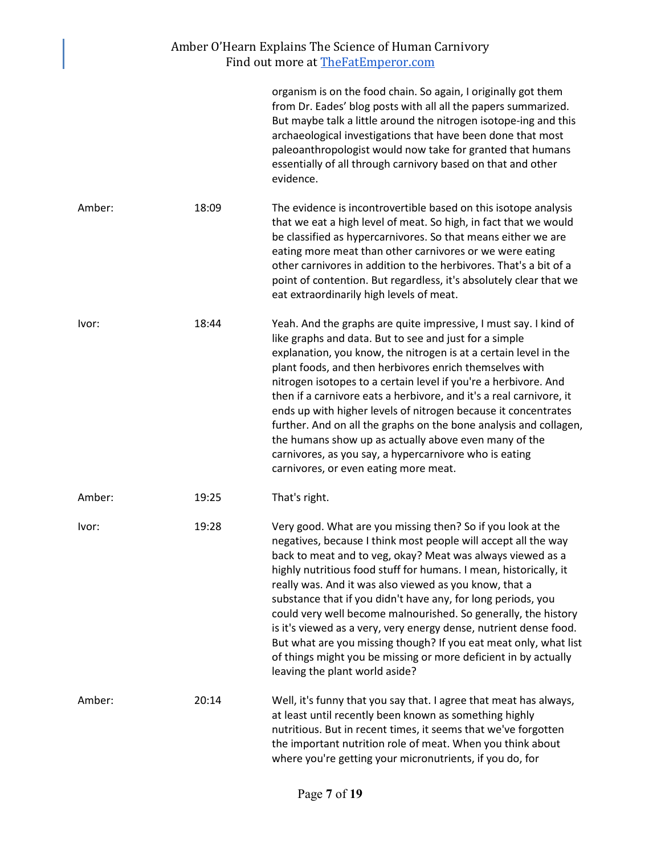|        |       | organism is on the food chain. So again, I originally got them<br>from Dr. Eades' blog posts with all all the papers summarized.<br>But maybe talk a little around the nitrogen isotope-ing and this<br>archaeological investigations that have been done that most<br>paleoanthropologist would now take for granted that humans<br>essentially of all through carnivory based on that and other<br>evidence.                                                                                                                                                                                                                                                                                             |
|--------|-------|------------------------------------------------------------------------------------------------------------------------------------------------------------------------------------------------------------------------------------------------------------------------------------------------------------------------------------------------------------------------------------------------------------------------------------------------------------------------------------------------------------------------------------------------------------------------------------------------------------------------------------------------------------------------------------------------------------|
| Amber: | 18:09 | The evidence is incontrovertible based on this isotope analysis<br>that we eat a high level of meat. So high, in fact that we would<br>be classified as hypercarnivores. So that means either we are<br>eating more meat than other carnivores or we were eating<br>other carnivores in addition to the herbivores. That's a bit of a<br>point of contention. But regardless, it's absolutely clear that we<br>eat extraordinarily high levels of meat.                                                                                                                                                                                                                                                    |
| Ivor:  | 18:44 | Yeah. And the graphs are quite impressive, I must say. I kind of<br>like graphs and data. But to see and just for a simple<br>explanation, you know, the nitrogen is at a certain level in the<br>plant foods, and then herbivores enrich themselves with<br>nitrogen isotopes to a certain level if you're a herbivore. And<br>then if a carnivore eats a herbivore, and it's a real carnivore, it<br>ends up with higher levels of nitrogen because it concentrates<br>further. And on all the graphs on the bone analysis and collagen,<br>the humans show up as actually above even many of the<br>carnivores, as you say, a hypercarnivore who is eating<br>carnivores, or even eating more meat.     |
| Amber: | 19:25 | That's right.                                                                                                                                                                                                                                                                                                                                                                                                                                                                                                                                                                                                                                                                                              |
| Ivor:  | 19:28 | Very good. What are you missing then? So if you look at the<br>negatives, because I think most people will accept all the way<br>back to meat and to veg, okay? Meat was always viewed as a<br>highly nutritious food stuff for humans. I mean, historically, it<br>really was. And it was also viewed as you know, that a<br>substance that if you didn't have any, for long periods, you<br>could very well become malnourished. So generally, the history<br>is it's viewed as a very, very energy dense, nutrient dense food.<br>But what are you missing though? If you eat meat only, what list<br>of things might you be missing or more deficient in by actually<br>leaving the plant world aside? |
| Amber: | 20:14 | Well, it's funny that you say that. I agree that meat has always,<br>at least until recently been known as something highly<br>nutritious. But in recent times, it seems that we've forgotten<br>the important nutrition role of meat. When you think about<br>where you're getting your micronutrients, if you do, for                                                                                                                                                                                                                                                                                                                                                                                    |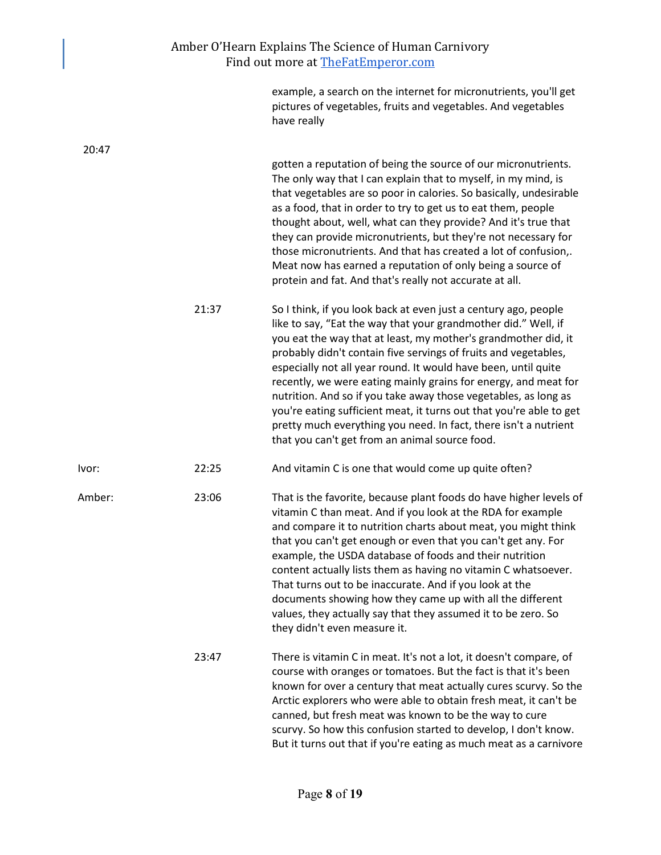|        |       | example, a search on the internet for micronutrients, you'll get<br>pictures of vegetables, fruits and vegetables. And vegetables<br>have really                                                                                                                                                                                                                                                                                                                                                                                                                                                                                                                            |
|--------|-------|-----------------------------------------------------------------------------------------------------------------------------------------------------------------------------------------------------------------------------------------------------------------------------------------------------------------------------------------------------------------------------------------------------------------------------------------------------------------------------------------------------------------------------------------------------------------------------------------------------------------------------------------------------------------------------|
| 20:47  |       | gotten a reputation of being the source of our micronutrients.<br>The only way that I can explain that to myself, in my mind, is<br>that vegetables are so poor in calories. So basically, undesirable<br>as a food, that in order to try to get us to eat them, people<br>thought about, well, what can they provide? And it's true that<br>they can provide micronutrients, but they're not necessary for<br>those micronutrients. And that has created a lot of confusion,.<br>Meat now has earned a reputation of only being a source of<br>protein and fat. And that's really not accurate at all.                                                                     |
|        | 21:37 | So I think, if you look back at even just a century ago, people<br>like to say, "Eat the way that your grandmother did." Well, if<br>you eat the way that at least, my mother's grandmother did, it<br>probably didn't contain five servings of fruits and vegetables,<br>especially not all year round. It would have been, until quite<br>recently, we were eating mainly grains for energy, and meat for<br>nutrition. And so if you take away those vegetables, as long as<br>you're eating sufficient meat, it turns out that you're able to get<br>pretty much everything you need. In fact, there isn't a nutrient<br>that you can't get from an animal source food. |
| lvor:  | 22:25 | And vitamin C is one that would come up quite often?                                                                                                                                                                                                                                                                                                                                                                                                                                                                                                                                                                                                                        |
| Amber: | 23:06 | That is the favorite, because plant foods do have higher levels of<br>vitamin C than meat. And if you look at the RDA for example<br>and compare it to nutrition charts about meat, you might think<br>that you can't get enough or even that you can't get any. For<br>example, the USDA database of foods and their nutrition<br>content actually lists them as having no vitamin C whatsoever.<br>That turns out to be inaccurate. And if you look at the<br>documents showing how they came up with all the different<br>values, they actually say that they assumed it to be zero. So<br>they didn't even measure it.                                                  |
|        | 23:47 | There is vitamin C in meat. It's not a lot, it doesn't compare, of<br>course with oranges or tomatoes. But the fact is that it's been<br>known for over a century that meat actually cures scurvy. So the<br>Arctic explorers who were able to obtain fresh meat, it can't be<br>canned, but fresh meat was known to be the way to cure<br>scurvy. So how this confusion started to develop, I don't know.<br>But it turns out that if you're eating as much meat as a carnivore                                                                                                                                                                                            |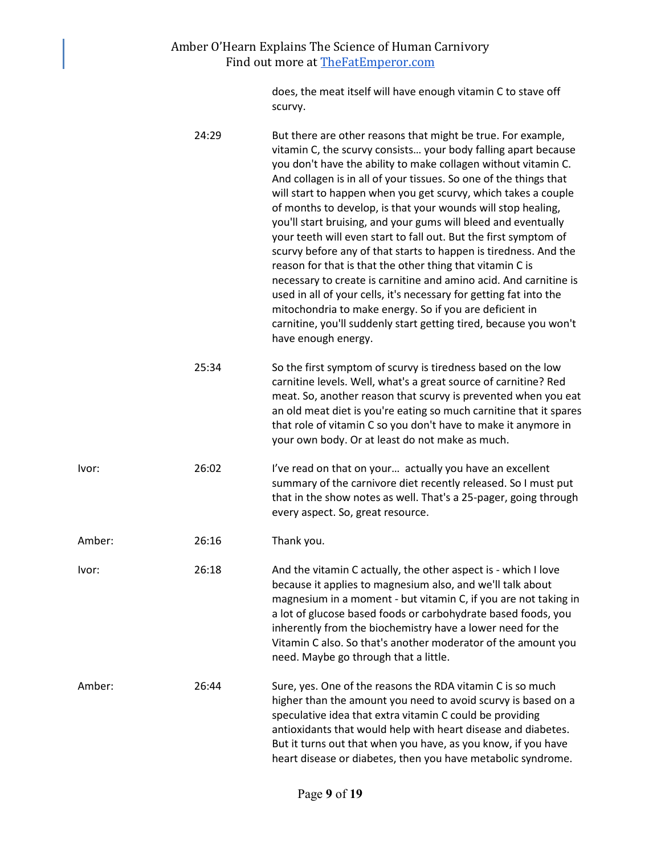does, the meat itself will have enough vitamin C to stave off scurvy.

|        | 24:29 | But there are other reasons that might be true. For example,<br>vitamin C, the scurvy consists your body falling apart because<br>you don't have the ability to make collagen without vitamin C.<br>And collagen is in all of your tissues. So one of the things that<br>will start to happen when you get scurvy, which takes a couple<br>of months to develop, is that your wounds will stop healing,<br>you'll start bruising, and your gums will bleed and eventually<br>your teeth will even start to fall out. But the first symptom of<br>scurvy before any of that starts to happen is tiredness. And the<br>reason for that is that the other thing that vitamin C is<br>necessary to create is carnitine and amino acid. And carnitine is<br>used in all of your cells, it's necessary for getting fat into the<br>mitochondria to make energy. So if you are deficient in<br>carnitine, you'll suddenly start getting tired, because you won't<br>have enough energy. |
|--------|-------|----------------------------------------------------------------------------------------------------------------------------------------------------------------------------------------------------------------------------------------------------------------------------------------------------------------------------------------------------------------------------------------------------------------------------------------------------------------------------------------------------------------------------------------------------------------------------------------------------------------------------------------------------------------------------------------------------------------------------------------------------------------------------------------------------------------------------------------------------------------------------------------------------------------------------------------------------------------------------------|
|        | 25:34 | So the first symptom of scurvy is tiredness based on the low<br>carnitine levels. Well, what's a great source of carnitine? Red<br>meat. So, another reason that scurvy is prevented when you eat<br>an old meat diet is you're eating so much carnitine that it spares<br>that role of vitamin C so you don't have to make it anymore in<br>your own body. Or at least do not make as much.                                                                                                                                                                                                                                                                                                                                                                                                                                                                                                                                                                                     |
| Ivor:  | 26:02 | I've read on that on your actually you have an excellent<br>summary of the carnivore diet recently released. So I must put<br>that in the show notes as well. That's a 25-pager, going through<br>every aspect. So, great resource.                                                                                                                                                                                                                                                                                                                                                                                                                                                                                                                                                                                                                                                                                                                                              |
| Amber: | 26:16 | Thank you.                                                                                                                                                                                                                                                                                                                                                                                                                                                                                                                                                                                                                                                                                                                                                                                                                                                                                                                                                                       |
| lvor:  | 26:18 | And the vitamin C actually, the other aspect is - which I love<br>because it applies to magnesium also, and we'll talk about<br>magnesium in a moment - but vitamin C, if you are not taking in<br>a lot of glucose based foods or carbohydrate based foods, you<br>inherently from the biochemistry have a lower need for the<br>Vitamin C also. So that's another moderator of the amount you<br>need. Maybe go through that a little.                                                                                                                                                                                                                                                                                                                                                                                                                                                                                                                                         |
| Amber: | 26:44 | Sure, yes. One of the reasons the RDA vitamin C is so much<br>higher than the amount you need to avoid scurvy is based on a<br>speculative idea that extra vitamin C could be providing<br>antioxidants that would help with heart disease and diabetes.<br>But it turns out that when you have, as you know, if you have<br>heart disease or diabetes, then you have metabolic syndrome.                                                                                                                                                                                                                                                                                                                                                                                                                                                                                                                                                                                        |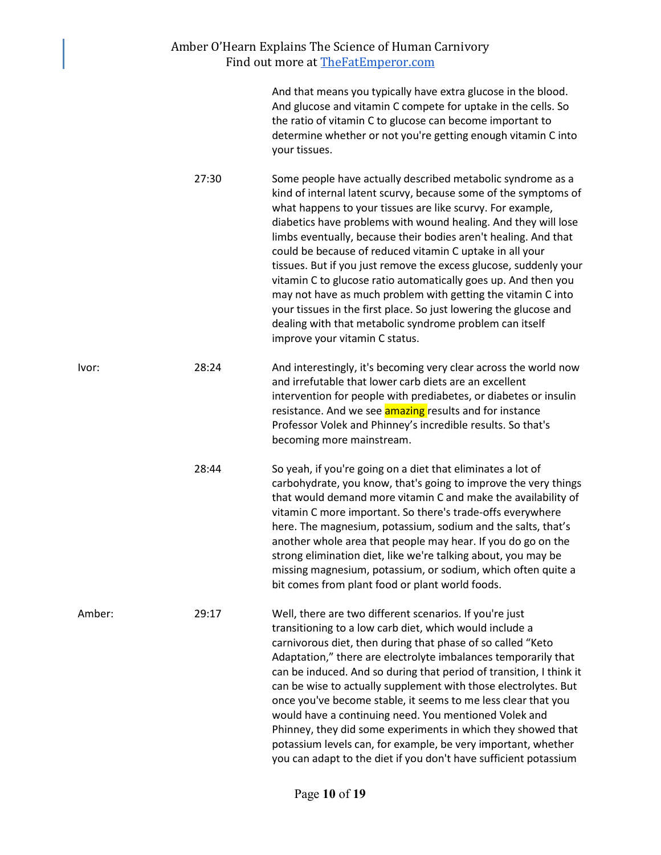|        |       | And that means you typically have extra glucose in the blood.<br>And glucose and vitamin C compete for uptake in the cells. So<br>the ratio of vitamin C to glucose can become important to<br>determine whether or not you're getting enough vitamin C into<br>your tissues.                                                                                                                                                                                                                                                                                                                                                                                                                                                                                          |
|--------|-------|------------------------------------------------------------------------------------------------------------------------------------------------------------------------------------------------------------------------------------------------------------------------------------------------------------------------------------------------------------------------------------------------------------------------------------------------------------------------------------------------------------------------------------------------------------------------------------------------------------------------------------------------------------------------------------------------------------------------------------------------------------------------|
|        | 27:30 | Some people have actually described metabolic syndrome as a<br>kind of internal latent scurvy, because some of the symptoms of<br>what happens to your tissues are like scurvy. For example,<br>diabetics have problems with wound healing. And they will lose<br>limbs eventually, because their bodies aren't healing. And that<br>could be because of reduced vitamin C uptake in all your<br>tissues. But if you just remove the excess glucose, suddenly your<br>vitamin C to glucose ratio automatically goes up. And then you<br>may not have as much problem with getting the vitamin C into<br>your tissues in the first place. So just lowering the glucose and<br>dealing with that metabolic syndrome problem can itself<br>improve your vitamin C status. |
| lvor:  | 28:24 | And interestingly, it's becoming very clear across the world now<br>and irrefutable that lower carb diets are an excellent<br>intervention for people with prediabetes, or diabetes or insulin<br>resistance. And we see <b>amazing</b> results and for instance<br>Professor Volek and Phinney's incredible results. So that's<br>becoming more mainstream.                                                                                                                                                                                                                                                                                                                                                                                                           |
|        | 28:44 | So yeah, if you're going on a diet that eliminates a lot of<br>carbohydrate, you know, that's going to improve the very things<br>that would demand more vitamin C and make the availability of<br>vitamin C more important. So there's trade-offs everywhere<br>here. The magnesium, potassium, sodium and the salts, that's<br>another whole area that people may hear. If you do go on the<br>strong elimination diet, like we're talking about, you may be<br>missing magnesium, potassium, or sodium, which often quite a<br>bit comes from plant food or plant world foods.                                                                                                                                                                                      |
| Amber: | 29:17 | Well, there are two different scenarios. If you're just<br>transitioning to a low carb diet, which would include a<br>carnivorous diet, then during that phase of so called "Keto<br>Adaptation," there are electrolyte imbalances temporarily that<br>can be induced. And so during that period of transition, I think it<br>can be wise to actually supplement with those electrolytes. But<br>once you've become stable, it seems to me less clear that you<br>would have a continuing need. You mentioned Volek and<br>Phinney, they did some experiments in which they showed that<br>potassium levels can, for example, be very important, whether                                                                                                               |

you can adapt to the diet if you don't have sufficient potassium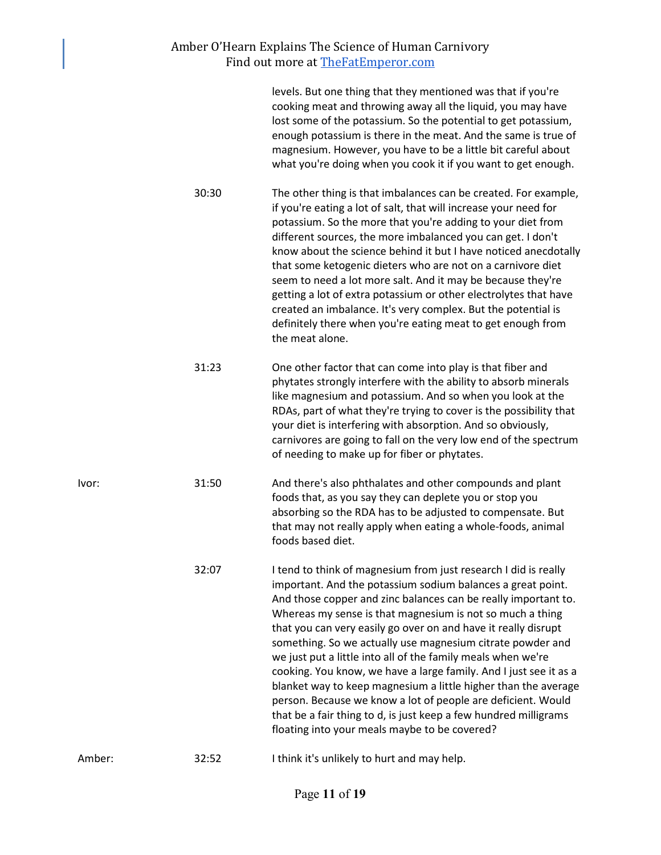|        |       | levels. But one thing that they mentioned was that if you're<br>cooking meat and throwing away all the liquid, you may have<br>lost some of the potassium. So the potential to get potassium,<br>enough potassium is there in the meat. And the same is true of<br>magnesium. However, you have to be a little bit careful about<br>what you're doing when you cook it if you want to get enough.                                                                                                                                                                                                                                                                                                                                                                                         |
|--------|-------|-------------------------------------------------------------------------------------------------------------------------------------------------------------------------------------------------------------------------------------------------------------------------------------------------------------------------------------------------------------------------------------------------------------------------------------------------------------------------------------------------------------------------------------------------------------------------------------------------------------------------------------------------------------------------------------------------------------------------------------------------------------------------------------------|
|        | 30:30 | The other thing is that imbalances can be created. For example,<br>if you're eating a lot of salt, that will increase your need for<br>potassium. So the more that you're adding to your diet from<br>different sources, the more imbalanced you can get. I don't<br>know about the science behind it but I have noticed anecdotally<br>that some ketogenic dieters who are not on a carnivore diet<br>seem to need a lot more salt. And it may be because they're<br>getting a lot of extra potassium or other electrolytes that have<br>created an imbalance. It's very complex. But the potential is<br>definitely there when you're eating meat to get enough from<br>the meat alone.                                                                                                 |
|        | 31:23 | One other factor that can come into play is that fiber and<br>phytates strongly interfere with the ability to absorb minerals<br>like magnesium and potassium. And so when you look at the<br>RDAs, part of what they're trying to cover is the possibility that<br>your diet is interfering with absorption. And so obviously,<br>carnivores are going to fall on the very low end of the spectrum<br>of needing to make up for fiber or phytates.                                                                                                                                                                                                                                                                                                                                       |
| Ivor:  | 31:50 | And there's also phthalates and other compounds and plant<br>foods that, as you say they can deplete you or stop you<br>absorbing so the RDA has to be adjusted to compensate. But<br>that may not really apply when eating a whole-foods, animal<br>foods based diet.                                                                                                                                                                                                                                                                                                                                                                                                                                                                                                                    |
|        | 32:07 | I tend to think of magnesium from just research I did is really<br>important. And the potassium sodium balances a great point.<br>And those copper and zinc balances can be really important to.<br>Whereas my sense is that magnesium is not so much a thing<br>that you can very easily go over on and have it really disrupt<br>something. So we actually use magnesium citrate powder and<br>we just put a little into all of the family meals when we're<br>cooking. You know, we have a large family. And I just see it as a<br>blanket way to keep magnesium a little higher than the average<br>person. Because we know a lot of people are deficient. Would<br>that be a fair thing to d, is just keep a few hundred milligrams<br>floating into your meals maybe to be covered? |
| Amber: | 32:52 | I think it's unlikely to hurt and may help.                                                                                                                                                                                                                                                                                                                                                                                                                                                                                                                                                                                                                                                                                                                                               |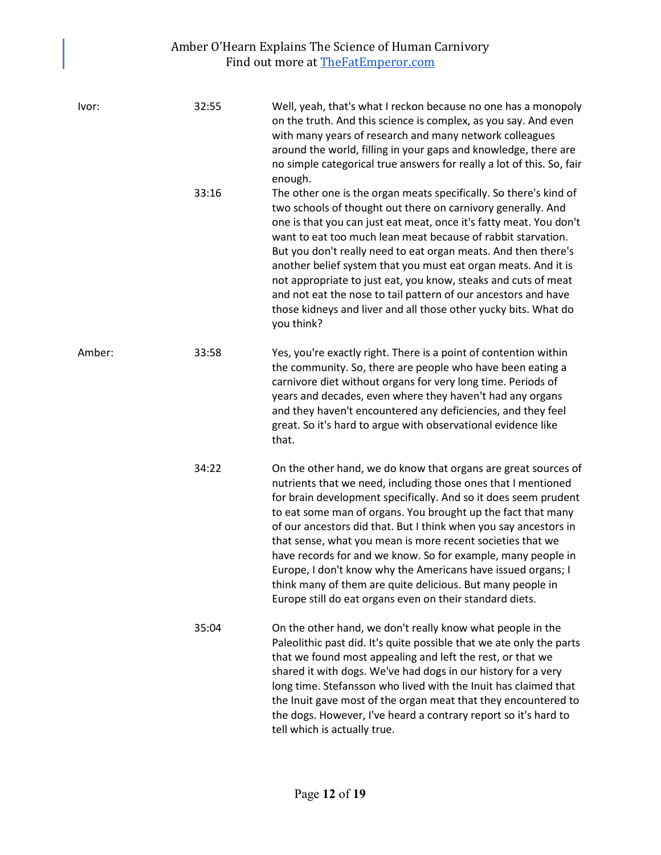| Ivor:  | 32:55 | Well, yeah, that's what I reckon because no one has a monopoly<br>on the truth. And this science is complex, as you say. And even<br>with many years of research and many network colleagues<br>around the world, filling in your gaps and knowledge, there are<br>no simple categorical true answers for really a lot of this. So, fair<br>enough.                                                                                                                                                                                                                                                                                                            |
|--------|-------|----------------------------------------------------------------------------------------------------------------------------------------------------------------------------------------------------------------------------------------------------------------------------------------------------------------------------------------------------------------------------------------------------------------------------------------------------------------------------------------------------------------------------------------------------------------------------------------------------------------------------------------------------------------|
|        | 33:16 | The other one is the organ meats specifically. So there's kind of<br>two schools of thought out there on carnivory generally. And<br>one is that you can just eat meat, once it's fatty meat. You don't<br>want to eat too much lean meat because of rabbit starvation.<br>But you don't really need to eat organ meats. And then there's<br>another belief system that you must eat organ meats. And it is<br>not appropriate to just eat, you know, steaks and cuts of meat<br>and not eat the nose to tail pattern of our ancestors and have<br>those kidneys and liver and all those other yucky bits. What do<br>you think?                               |
| Amber: | 33:58 | Yes, you're exactly right. There is a point of contention within<br>the community. So, there are people who have been eating a<br>carnivore diet without organs for very long time. Periods of<br>years and decades, even where they haven't had any organs<br>and they haven't encountered any deficiencies, and they feel<br>great. So it's hard to argue with observational evidence like<br>that.                                                                                                                                                                                                                                                          |
|        | 34:22 | On the other hand, we do know that organs are great sources of<br>nutrients that we need, including those ones that I mentioned<br>for brain development specifically. And so it does seem prudent<br>to eat some man of organs. You brought up the fact that many<br>of our ancestors did that. But I think when you say ancestors in<br>that sense, what you mean is more recent societies that we<br>have records for and we know. So for example, many people in<br>Europe, I don't know why the Americans have issued organs; I<br>think many of them are quite delicious. But many people in<br>Europe still do eat organs even on their standard diets. |
|        | 35:04 | On the other hand, we don't really know what people in the<br>Paleolithic past did. It's quite possible that we ate only the parts<br>that we found most appealing and left the rest, or that we<br>shared it with dogs. We've had dogs in our history for a very<br>long time. Stefansson who lived with the Inuit has claimed that<br>the Inuit gave most of the organ meat that they encountered to<br>the dogs. However, I've heard a contrary report so it's hard to<br>tell which is actually true.                                                                                                                                                      |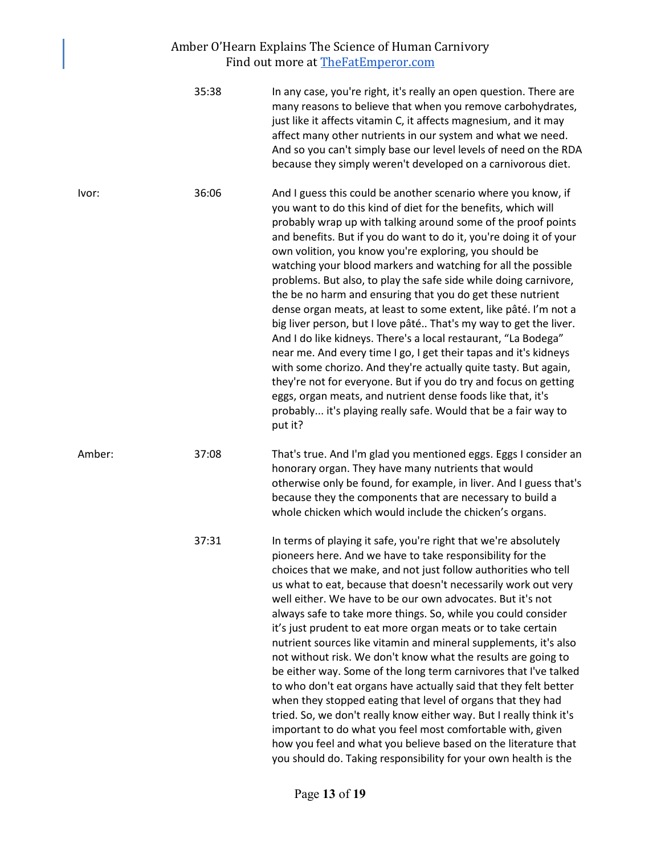### Amber O'Hearn Explains The Science of Human Carnivory Find out more at **[TheFatEmperor.com](https://thefatemperor.com/)**

|        | 35:38 | In any case, you're right, it's really an open question. There are<br>many reasons to believe that when you remove carbohydrates,<br>just like it affects vitamin C, it affects magnesium, and it may<br>affect many other nutrients in our system and what we need.<br>And so you can't simply base our level levels of need on the RDA<br>because they simply weren't developed on a carnivorous diet.                                                                                                                                                                                                                                                                                                                                                                                                                                                                                                                                                                                                                                                                                             |
|--------|-------|------------------------------------------------------------------------------------------------------------------------------------------------------------------------------------------------------------------------------------------------------------------------------------------------------------------------------------------------------------------------------------------------------------------------------------------------------------------------------------------------------------------------------------------------------------------------------------------------------------------------------------------------------------------------------------------------------------------------------------------------------------------------------------------------------------------------------------------------------------------------------------------------------------------------------------------------------------------------------------------------------------------------------------------------------------------------------------------------------|
| Ivor:  | 36:06 | And I guess this could be another scenario where you know, if<br>you want to do this kind of diet for the benefits, which will<br>probably wrap up with talking around some of the proof points<br>and benefits. But if you do want to do it, you're doing it of your<br>own volition, you know you're exploring, you should be<br>watching your blood markers and watching for all the possible<br>problems. But also, to play the safe side while doing carnivore,<br>the be no harm and ensuring that you do get these nutrient<br>dense organ meats, at least to some extent, like pâté. I'm not a<br>big liver person, but I love pâté That's my way to get the liver.<br>And I do like kidneys. There's a local restaurant, "La Bodega"<br>near me. And every time I go, I get their tapas and it's kidneys<br>with some chorizo. And they're actually quite tasty. But again,<br>they're not for everyone. But if you do try and focus on getting<br>eggs, organ meats, and nutrient dense foods like that, it's<br>probably it's playing really safe. Would that be a fair way to<br>put it? |
| Amber: | 37:08 | That's true. And I'm glad you mentioned eggs. Eggs I consider an<br>honorary organ. They have many nutrients that would<br>otherwise only be found, for example, in liver. And I guess that's<br>because they the components that are necessary to build a<br>whole chicken which would include the chicken's organs.                                                                                                                                                                                                                                                                                                                                                                                                                                                                                                                                                                                                                                                                                                                                                                                |
|        | 37:31 | In terms of playing it safe, you're right that we're absolutely<br>pioneers here. And we have to take responsibility for the<br>choices that we make, and not just follow authorities who tell<br>us what to eat, because that doesn't necessarily work out very<br>well either. We have to be our own advocates. But it's not<br>always safe to take more things. So, while you could consider<br>it's just prudent to eat more organ meats or to take certain<br>nutrient sources like vitamin and mineral supplements, it's also<br>not without risk. We don't know what the results are going to<br>be either way. Some of the long term carnivores that I've talked<br>to who don't eat organs have actually said that they felt better<br>when they stopped eating that level of organs that they had<br>tried. So, we don't really know either way. But I really think it's<br>important to do what you feel most comfortable with, given<br>how you feel and what you believe based on the literature that<br>you should do. Taking responsibility for your own health is the                |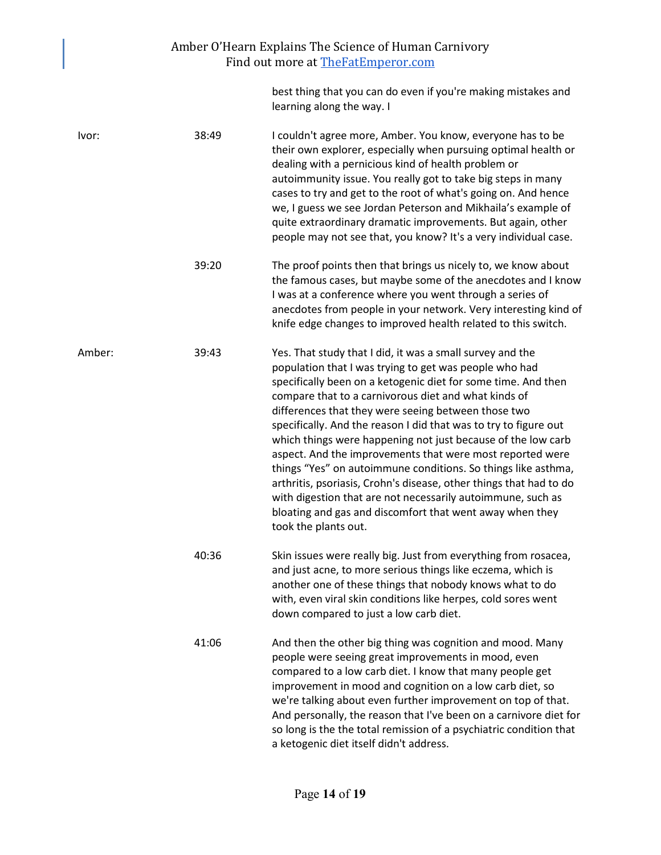best thing that you can do even if you're making mistakes and learning along the way. I

| Ivor:  | 38:49 | I couldn't agree more, Amber. You know, everyone has to be<br>their own explorer, especially when pursuing optimal health or<br>dealing with a pernicious kind of health problem or<br>autoimmunity issue. You really got to take big steps in many<br>cases to try and get to the root of what's going on. And hence<br>we, I guess we see Jordan Peterson and Mikhaila's example of<br>quite extraordinary dramatic improvements. But again, other<br>people may not see that, you know? It's a very individual case.                                                                                                                                                                                                                                                                        |
|--------|-------|------------------------------------------------------------------------------------------------------------------------------------------------------------------------------------------------------------------------------------------------------------------------------------------------------------------------------------------------------------------------------------------------------------------------------------------------------------------------------------------------------------------------------------------------------------------------------------------------------------------------------------------------------------------------------------------------------------------------------------------------------------------------------------------------|
|        | 39:20 | The proof points then that brings us nicely to, we know about<br>the famous cases, but maybe some of the anecdotes and I know<br>I was at a conference where you went through a series of<br>anecdotes from people in your network. Very interesting kind of<br>knife edge changes to improved health related to this switch.                                                                                                                                                                                                                                                                                                                                                                                                                                                                  |
| Amber: | 39:43 | Yes. That study that I did, it was a small survey and the<br>population that I was trying to get was people who had<br>specifically been on a ketogenic diet for some time. And then<br>compare that to a carnivorous diet and what kinds of<br>differences that they were seeing between those two<br>specifically. And the reason I did that was to try to figure out<br>which things were happening not just because of the low carb<br>aspect. And the improvements that were most reported were<br>things "Yes" on autoimmune conditions. So things like asthma,<br>arthritis, psoriasis, Crohn's disease, other things that had to do<br>with digestion that are not necessarily autoimmune, such as<br>bloating and gas and discomfort that went away when they<br>took the plants out. |
|        | 40:36 | Skin issues were really big. Just from everything from rosacea,<br>and just acne, to more serious things like eczema, which is<br>another one of these things that nobody knows what to do<br>with, even viral skin conditions like herpes, cold sores went<br>down compared to just a low carb diet.                                                                                                                                                                                                                                                                                                                                                                                                                                                                                          |
|        | 41:06 | And then the other big thing was cognition and mood. Many<br>people were seeing great improvements in mood, even<br>compared to a low carb diet. I know that many people get<br>improvement in mood and cognition on a low carb diet, so<br>we're talking about even further improvement on top of that.<br>And personally, the reason that I've been on a carnivore diet for<br>so long is the the total remission of a psychiatric condition that                                                                                                                                                                                                                                                                                                                                            |

a ketogenic diet itself didn't address.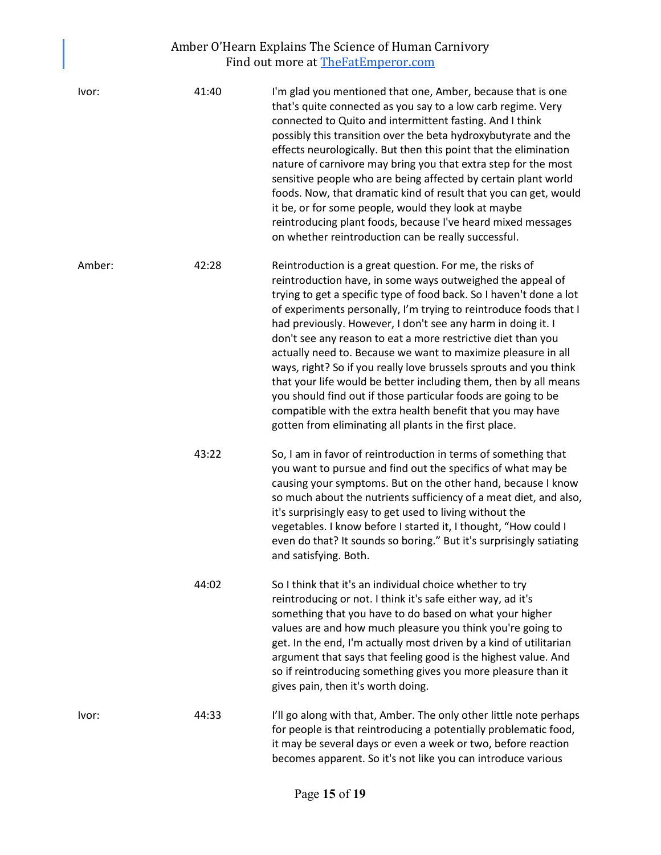| Ivor:  | 41:40 | I'm glad you mentioned that one, Amber, because that is one<br>that's quite connected as you say to a low carb regime. Very<br>connected to Quito and intermittent fasting. And I think<br>possibly this transition over the beta hydroxybutyrate and the<br>effects neurologically. But then this point that the elimination<br>nature of carnivore may bring you that extra step for the most<br>sensitive people who are being affected by certain plant world<br>foods. Now, that dramatic kind of result that you can get, would<br>it be, or for some people, would they look at maybe<br>reintroducing plant foods, because I've heard mixed messages<br>on whether reintroduction can be really successful.                                                                                   |
|--------|-------|-------------------------------------------------------------------------------------------------------------------------------------------------------------------------------------------------------------------------------------------------------------------------------------------------------------------------------------------------------------------------------------------------------------------------------------------------------------------------------------------------------------------------------------------------------------------------------------------------------------------------------------------------------------------------------------------------------------------------------------------------------------------------------------------------------|
| Amber: | 42:28 | Reintroduction is a great question. For me, the risks of<br>reintroduction have, in some ways outweighed the appeal of<br>trying to get a specific type of food back. So I haven't done a lot<br>of experiments personally, I'm trying to reintroduce foods that I<br>had previously. However, I don't see any harm in doing it. I<br>don't see any reason to eat a more restrictive diet than you<br>actually need to. Because we want to maximize pleasure in all<br>ways, right? So if you really love brussels sprouts and you think<br>that your life would be better including them, then by all means<br>you should find out if those particular foods are going to be<br>compatible with the extra health benefit that you may have<br>gotten from eliminating all plants in the first place. |
|        | 43:22 | So, I am in favor of reintroduction in terms of something that<br>you want to pursue and find out the specifics of what may be<br>causing your symptoms. But on the other hand, because I know<br>so much about the nutrients sufficiency of a meat diet, and also,<br>it's surprisingly easy to get used to living without the<br>vegetables. I know before I started it, I thought, "How could I<br>even do that? It sounds so boring." But it's surprisingly satiating<br>and satisfying. Both.                                                                                                                                                                                                                                                                                                    |
|        | 44:02 | So I think that it's an individual choice whether to try<br>reintroducing or not. I think it's safe either way, ad it's<br>something that you have to do based on what your higher<br>values are and how much pleasure you think you're going to<br>get. In the end, I'm actually most driven by a kind of utilitarian<br>argument that says that feeling good is the highest value. And<br>so if reintroducing something gives you more pleasure than it<br>gives pain, then it's worth doing.                                                                                                                                                                                                                                                                                                       |
| Ivor:  | 44:33 | I'll go along with that, Amber. The only other little note perhaps<br>for people is that reintroducing a potentially problematic food,<br>it may be several days or even a week or two, before reaction<br>becomes apparent. So it's not like you can introduce various                                                                                                                                                                                                                                                                                                                                                                                                                                                                                                                               |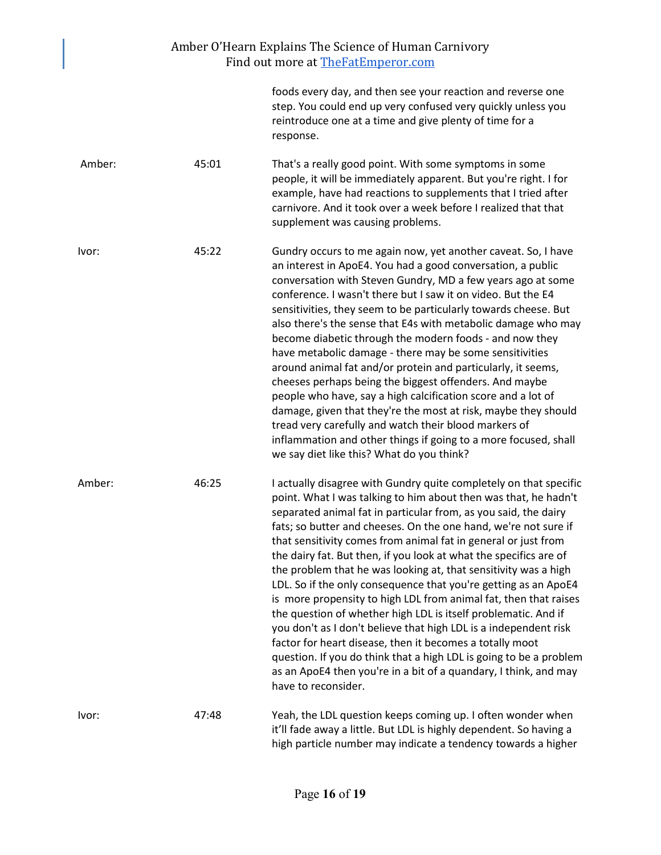| Amber O'Hearn Explains The Science of Human Carnivory<br>Find out more at The Fat Emperor.com |       |                                                                                                                                                                                                                                                                                                                                                                                                                                                                                                                                                                                                                                                                                                                                                                                                                                                                                                                                                                                                |  |  |
|-----------------------------------------------------------------------------------------------|-------|------------------------------------------------------------------------------------------------------------------------------------------------------------------------------------------------------------------------------------------------------------------------------------------------------------------------------------------------------------------------------------------------------------------------------------------------------------------------------------------------------------------------------------------------------------------------------------------------------------------------------------------------------------------------------------------------------------------------------------------------------------------------------------------------------------------------------------------------------------------------------------------------------------------------------------------------------------------------------------------------|--|--|
|                                                                                               |       | foods every day, and then see your reaction and reverse one<br>step. You could end up very confused very quickly unless you<br>reintroduce one at a time and give plenty of time for a<br>response.                                                                                                                                                                                                                                                                                                                                                                                                                                                                                                                                                                                                                                                                                                                                                                                            |  |  |
| Amber:                                                                                        | 45:01 | That's a really good point. With some symptoms in some<br>people, it will be immediately apparent. But you're right. I for<br>example, have had reactions to supplements that I tried after<br>carnivore. And it took over a week before I realized that that<br>supplement was causing problems.                                                                                                                                                                                                                                                                                                                                                                                                                                                                                                                                                                                                                                                                                              |  |  |
| Ivor:                                                                                         | 45:22 | Gundry occurs to me again now, yet another caveat. So, I have<br>an interest in ApoE4. You had a good conversation, a public<br>conversation with Steven Gundry, MD a few years ago at some<br>conference. I wasn't there but I saw it on video. But the E4<br>sensitivities, they seem to be particularly towards cheese. But<br>also there's the sense that E4s with metabolic damage who may<br>become diabetic through the modern foods - and now they<br>have metabolic damage - there may be some sensitivities<br>around animal fat and/or protein and particularly, it seems,<br>cheeses perhaps being the biggest offenders. And maybe<br>people who have, say a high calcification score and a lot of<br>damage, given that they're the most at risk, maybe they should<br>tread very carefully and watch their blood markers of<br>inflammation and other things if going to a more focused, shall<br>we say diet like this? What do you think?                                     |  |  |
| Amber:                                                                                        | 46:25 | I actually disagree with Gundry quite completely on that specific<br>point. What I was talking to him about then was that, he hadn't<br>separated animal fat in particular from, as you said, the dairy<br>fats; so butter and cheeses. On the one hand, we're not sure if<br>that sensitivity comes from animal fat in general or just from<br>the dairy fat. But then, if you look at what the specifics are of<br>the problem that he was looking at, that sensitivity was a high<br>LDL. So if the only consequence that you're getting as an ApoE4<br>is more propensity to high LDL from animal fat, then that raises<br>the question of whether high LDL is itself problematic. And if<br>you don't as I don't believe that high LDL is a independent risk<br>factor for heart disease, then it becomes a totally moot<br>question. If you do think that a high LDL is going to be a problem<br>as an ApoE4 then you're in a bit of a quandary, I think, and may<br>have to reconsider. |  |  |
| Ivor:                                                                                         | 47:48 | Yeah, the LDL question keeps coming up. I often wonder when<br>it'll fade away a little. But LDL is highly dependent. So having a<br>high particle number may indicate a tendency towards a higher                                                                                                                                                                                                                                                                                                                                                                                                                                                                                                                                                                                                                                                                                                                                                                                             |  |  |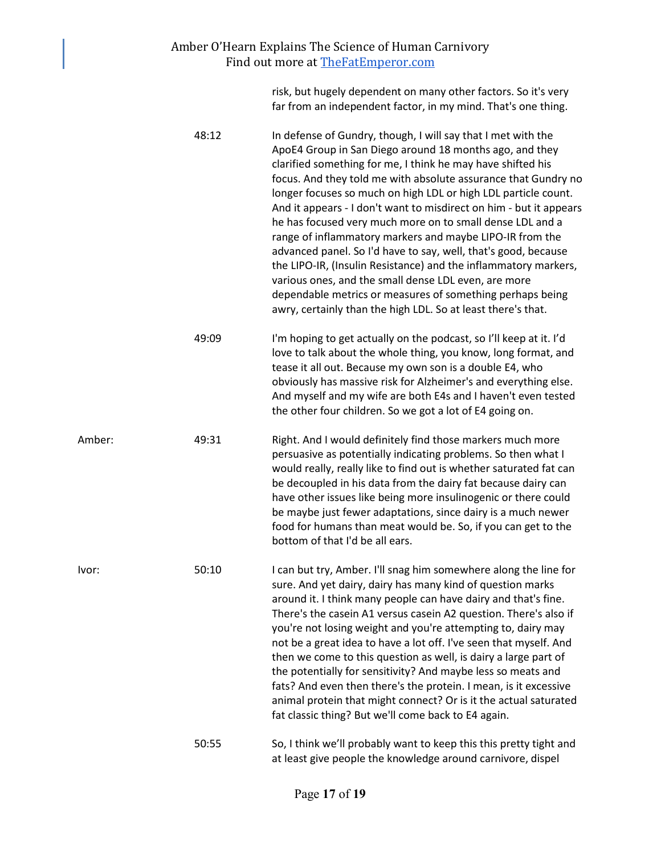#### Amber O'Hearn Explains The Science of Human Carnivory Find out more at [TheFatEmperor.com](https://thefatemperor.com/)

risk, but hugely dependent on many other factors. So it's very far from an independent factor, in my mind. That's one thing.

- 48:12 In defense of Gundry, though, I will say that I met with the ApoE4 Group in San Diego around 18 months ago, and they clarified something for me, I think he may have shifted his focus. And they told me with absolute assurance that Gundry no longer focuses so much on high LDL or high LDL particle count. And it appears - I don't want to misdirect on him - but it appears he has focused very much more on to small dense LDL and a range of inflammatory markers and maybe LIPO-IR from the advanced panel. So I'd have to say, well, that's good, because the LIPO-IR, (Insulin Resistance) and the inflammatory markers, various ones, and the small dense LDL even, are more dependable metrics or measures of something perhaps being awry, certainly than the high LDL. So at least there's that.
- 49:09 I'm hoping to get actually on the podcast, so I'll keep at it. I'd love to talk about the whole thing, you know, long format, and tease it all out. Because my own son is a double E4, who obviously has massive risk for Alzheimer's and everything else. And myself and my wife are both E4s and I haven't even tested the other four children. So we got a lot of E4 going on.
- Amber: 49:31 Right. And I would definitely find those markers much more persuasive as potentially indicating problems. So then what I would really, really like to find out is whether saturated fat can be decoupled in his data from the dairy fat because dairy can have other issues like being more insulinogenic or there could be maybe just fewer adaptations, since dairy is a much newer food for humans than meat would be. So, if you can get to the bottom of that I'd be all ears.

Ivor: 50:10 I can but try, Amber. I'll snag him somewhere along the line for sure. And yet dairy, dairy has many kind of question marks around it. I think many people can have dairy and that's fine. There's the casein A1 versus casein A2 question. There's also if you're not losing weight and you're attempting to, dairy may not be a great idea to have a lot off. I've seen that myself. And then we come to this question as well, is dairy a large part of the potentially for sensitivity? And maybe less so meats and fats? And even then there's the protein. I mean, is it excessive animal protein that might connect? Or is it the actual saturated fat classic thing? But we'll come back to E4 again.

> 50:55 So, I think we'll probably want to keep this this pretty tight and at least give people the knowledge around carnivore, dispel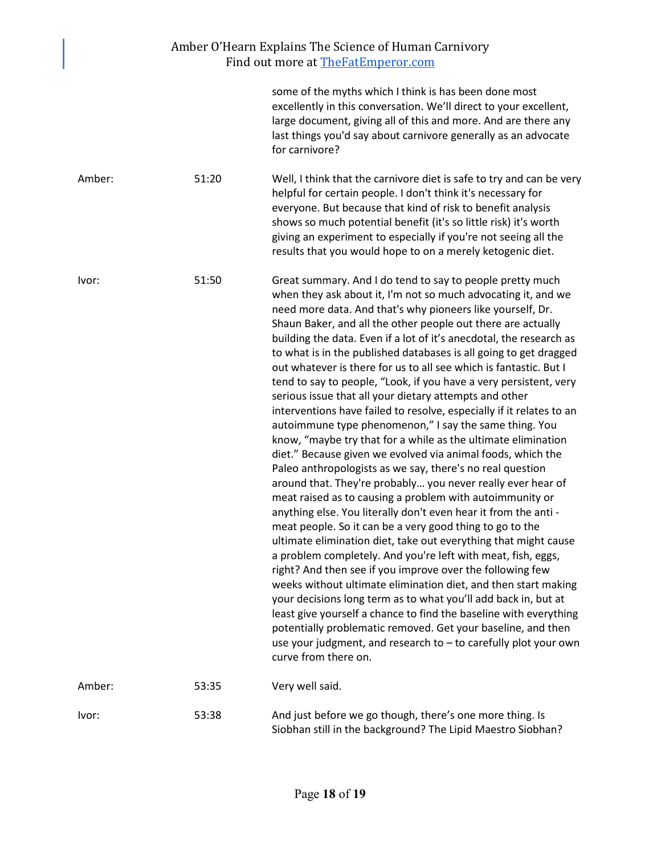| Amber O'Hearn Explains The Science of Human Carnivory<br>Find out more at TheFatEmperor.com |       |                                                                                                                                                                                                                                                                                                                                                                                                                                                                                                                                                                                                                                                                                                                                                                                                                                                                                                                                                                                                                                                                                                                                                                                                                                                                                                                                                                                                                                                                                                                                                                                                                                                                                                                                                                       |  |  |
|---------------------------------------------------------------------------------------------|-------|-----------------------------------------------------------------------------------------------------------------------------------------------------------------------------------------------------------------------------------------------------------------------------------------------------------------------------------------------------------------------------------------------------------------------------------------------------------------------------------------------------------------------------------------------------------------------------------------------------------------------------------------------------------------------------------------------------------------------------------------------------------------------------------------------------------------------------------------------------------------------------------------------------------------------------------------------------------------------------------------------------------------------------------------------------------------------------------------------------------------------------------------------------------------------------------------------------------------------------------------------------------------------------------------------------------------------------------------------------------------------------------------------------------------------------------------------------------------------------------------------------------------------------------------------------------------------------------------------------------------------------------------------------------------------------------------------------------------------------------------------------------------------|--|--|
|                                                                                             |       | some of the myths which I think is has been done most<br>excellently in this conversation. We'll direct to your excellent,<br>large document, giving all of this and more. And are there any<br>last things you'd say about carnivore generally as an advocate<br>for carnivore?                                                                                                                                                                                                                                                                                                                                                                                                                                                                                                                                                                                                                                                                                                                                                                                                                                                                                                                                                                                                                                                                                                                                                                                                                                                                                                                                                                                                                                                                                      |  |  |
| Amber:                                                                                      | 51:20 | Well, I think that the carnivore diet is safe to try and can be very<br>helpful for certain people. I don't think it's necessary for<br>everyone. But because that kind of risk to benefit analysis<br>shows so much potential benefit (it's so little risk) it's worth<br>giving an experiment to especially if you're not seeing all the<br>results that you would hope to on a merely ketogenic diet.                                                                                                                                                                                                                                                                                                                                                                                                                                                                                                                                                                                                                                                                                                                                                                                                                                                                                                                                                                                                                                                                                                                                                                                                                                                                                                                                                              |  |  |
| Ivor:                                                                                       | 51:50 | Great summary. And I do tend to say to people pretty much<br>when they ask about it, I'm not so much advocating it, and we<br>need more data. And that's why pioneers like yourself, Dr.<br>Shaun Baker, and all the other people out there are actually<br>building the data. Even if a lot of it's anecdotal, the research as<br>to what is in the published databases is all going to get dragged<br>out whatever is there for us to all see which is fantastic. But I<br>tend to say to people, "Look, if you have a very persistent, very<br>serious issue that all your dietary attempts and other<br>interventions have failed to resolve, especially if it relates to an<br>autoimmune type phenomenon," I say the same thing. You<br>know, "maybe try that for a while as the ultimate elimination<br>diet." Because given we evolved via animal foods, which the<br>Paleo anthropologists as we say, there's no real question<br>around that. They're probably you never really ever hear of<br>meat raised as to causing a problem with autoimmunity or<br>anything else. You literally don't even hear it from the anti -<br>meat people. So it can be a very good thing to go to the<br>ultimate elimination diet, take out everything that might cause<br>a problem completely. And you're left with meat, fish, eggs,<br>right? And then see if you improve over the following few<br>weeks without ultimate elimination diet, and then start making<br>your decisions long term as to what you'll add back in, but at<br>least give yourself a chance to find the baseline with everything<br>potentially problematic removed. Get your baseline, and then<br>use your judgment, and research to - to carefully plot your own<br>curve from there on. |  |  |
| Amber:                                                                                      | 53:35 | Very well said.                                                                                                                                                                                                                                                                                                                                                                                                                                                                                                                                                                                                                                                                                                                                                                                                                                                                                                                                                                                                                                                                                                                                                                                                                                                                                                                                                                                                                                                                                                                                                                                                                                                                                                                                                       |  |  |
| Ivor:                                                                                       | 53:38 | And just before we go though, there's one more thing. Is<br>Siobhan still in the background? The Lipid Maestro Siobhan?                                                                                                                                                                                                                                                                                                                                                                                                                                                                                                                                                                                                                                                                                                                                                                                                                                                                                                                                                                                                                                                                                                                                                                                                                                                                                                                                                                                                                                                                                                                                                                                                                                               |  |  |